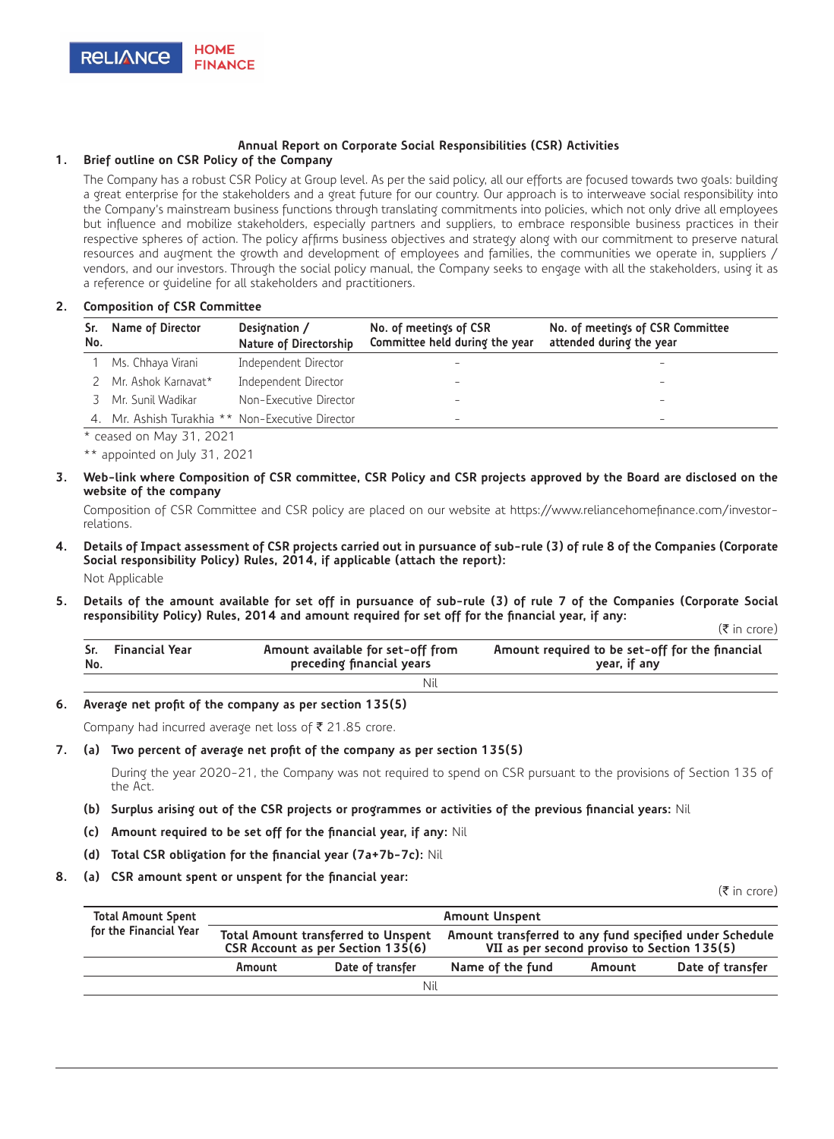

# **Annual Report on Corporate Social Responsibilities (CSR) Activities**

## **1. Brief outline on CSR Policy of the Company**

The Company has a robust CSR Policy at Group level. As per the said policy, all our efforts are focused towards two goals: building a great enterprise for the stakeholders and a great future for our country. Our approach is to interweave social responsibility into the Company's mainstream business functions through translating commitments into policies, which not only drive all employees but influence and mobilize stakeholders, especially partners and suppliers, to embrace responsible business practices in their respective spheres of action. The policy affirms business objectives and strategy along with our commitment to preserve natural resources and augment the growth and development of employees and families, the communities we operate in, suppliers / vendors, and our investors. Through the social policy manual, the Company seeks to engage with all the stakeholders, using it as a reference or guideline for all stakeholders and practitioners.

#### **2. Composition of CSR Committee**

| No. | Sr. Name of Director                             | Designation /<br>Nature of Directorship | No. of meetings of CSR<br>Committee held during the year | No. of meetings of CSR Committee<br>attended during the year |
|-----|--------------------------------------------------|-----------------------------------------|----------------------------------------------------------|--------------------------------------------------------------|
|     | Ms. Chhaya Virani                                | Independent Director                    | -                                                        | -                                                            |
| 2   | Mr. Ashok Karnavat*                              | Independent Director                    | $\overline{\phantom{a}}$                                 | $\overline{\phantom{a}}$                                     |
|     | 3 Mr. Sunil Wadikar                              | Non-Executive Director                  | -                                                        | $\overline{\phantom{a}}$                                     |
|     | 4. Mr. Ashish Turakhia ** Non-Executive Director |                                         | $\overline{\phantom{a}}$                                 | $\overline{\phantom{a}}$                                     |

\* ceased on May 31, 2021

\*\* appointed on July 31, 2021

**3. Web-link where Composition of CSR committee, CSR Policy and CSR projects approved by the Board are disclosed on the website of the company**

Composition of CSR Committee and CSR policy are placed on our website at https://www.reliancehomefinance.com/investorrelations.

# **4. Details of Impact assessment of CSR projects carried out in pursuance of sub-rule (3) of rule 8 of the Companies (Corporate Social responsibility Policy) Rules, 2014, if applicable (attach the report):**

Not Applicable

**5. Details of the amount available for set off in pursuance of sub-rule (3) of rule 7 of the Companies (Corporate Social responsibility Policy) Rules, 2014 and amount required for set off for the financial year, if any:**  $(\bar{\bar{\tau}}$  in crore)

| No. | Sr. Financial Year | Amount available for set-off from<br>preceding financial years | Amount required to be set-off for the financial<br>year, if any |
|-----|--------------------|----------------------------------------------------------------|-----------------------------------------------------------------|
|     |                    | Nil                                                            |                                                                 |

## **6. Average net profit of the company as per section 135(5)**

Company had incurred average net loss of  $\bar{\tau}$  21.85 crore.

#### **7. (a) Two percent of average net profit of the company as per section 135(5)**

During the year 2020-21, the Company was not required to spend on CSR pursuant to the provisions of Section 135 of the Act.

#### **(b) Surplus arising out of the CSR projects or programmes or activities of the previous financial years:** Nil

- **(c) Amount required to be set off for the financial year, if any:** Nil
- **(d) Total CSR obligation for the financial year (7a+7b-7c):** Nil
- **8. (a) CSR amount spent or unspent for the financial year:**

 $(\bar{\bar{\mathbf{z}}}$  in crore)

| <b>Total Amount Spent</b> | <b>Amount Unspent</b> |                                                                                 |                                                                                                        |        |                  |  |
|---------------------------|-----------------------|---------------------------------------------------------------------------------|--------------------------------------------------------------------------------------------------------|--------|------------------|--|
| for the Financial Year    |                       | <b>Total Amount transferred to Unspent</b><br>CSR Account as per Section 135(6) | Amount transferred to any fund specified under Schedule<br>VII as per second proviso to Section 135(5) |        |                  |  |
|                           | Amount                | Date of transfer                                                                | Name of the fund                                                                                       | Amount | Date of transfer |  |
| Nil                       |                       |                                                                                 |                                                                                                        |        |                  |  |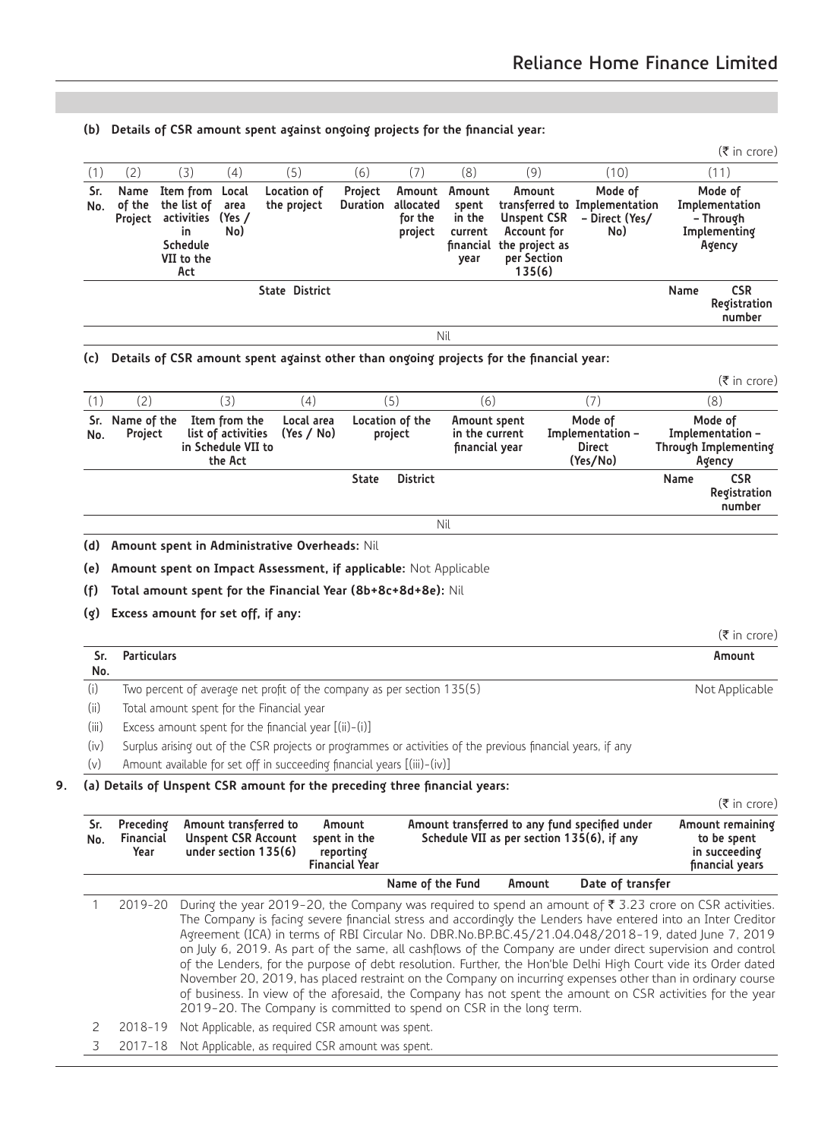**(b) Details of CSR amount spent against ongoing projects for the financial year:**  $(\bar{\bar{\tau}}$  in crore) (1) (2) (3) (4) (5) (6) (7) (8) (9) (10) (11) **Sr. No. Name of the Project Item from the list of activities in Schedule VII to the Act Local area (Yes / No) Location of the project Project Duration Amount allocated for the project Amount spent in the current financial year Amount transferred to Implementation Unspent CSR Account for the project as per Section 135(6) Mode of – Direct (Yes/ No) Mode of Implementation – Through Implementing Agency State District Name CSR Registration number** Nil **(c) Details of CSR amount spent against other than ongoing projects for the financial year:**  $(\bar{\bar{\tau}}$  in crore) (1) (2) (3) (4) (5) (6) (7) (8) **Sr. No. Name of the Project Item from the list of activities in Schedule VII to the Act Local area (Yes / No) Location of the project Amount spent in the current financial year Mode of Implementation – Direct (Yes/No) Mode of Implementation – Through Implementing Agency State District Name CSR Registration number** Nil **(d) Amount spent in Administrative Overheads:** Nil **(e) Amount spent on Impact Assessment, if applicable:** Not Applicable **(f) Total amount spent for the Financial Year (8b+8c+8d+8e):** Nil **(g) Excess amount for set off, if any:**  $(\bar{\bar{\mathbf{z}}}$  in crore) **Sr. No. Particulars Amount** (i) Two percent of average net profit of the company as per section 135(5) Not Applicable (ii) Total amount spent for the Financial year (iii) Excess amount spent for the financial year [(ii)-(i)] (iv) Surplus arising out of the CSR projects or programmes or activities of the previous financial years, if any (v) Amount available for set off in succeeding financial years [(iii)-(iv)] **9. (a) Details of Unspent CSR amount for the preceding three financial years:**  $(\bar{\tau}$  in crore) **Sr. No. Preceding Financial Year Amount transferred to Unspent CSR Account under section 135(6) Amount spent in the reporting Financial Year Amount transferred to any fund specified under Schedule VII as per section 135(6), if any Amount remaining to be spent in succeeding financial years Name of the Fund Amount Date of transfer** 2019-20 During the year 2019-20, the Company was required to spend an amount of ₹ 3.23 crore on CSR activities. The Company is facing severe financial stress and accordingly the Lenders have entered into an Inter Creditor Agreement (ICA) in terms of RBI Circular No. DBR.No.BP.BC.45/21.04.048/2018-19, dated June 7, 2019 on July 6, 2019. As part of the same, all cashflows of the Company are under direct supervision and control of the Lenders, for the purpose of debt resolution. Further, the Hon'ble Delhi High Court vide its Order dated November 20, 2019, has placed restraint on the Company on incurring expenses other than in ordinary course

of business. In view of the aforesaid, the Company has not spent the amount on CSR activities for the year

- 2019-20. The Company is committed to spend on CSR in the long term.
- 2 2018-19 Not Applicable, as required CSR amount was spent.

3 2017-18 Not Applicable, as required CSR amount was spent.